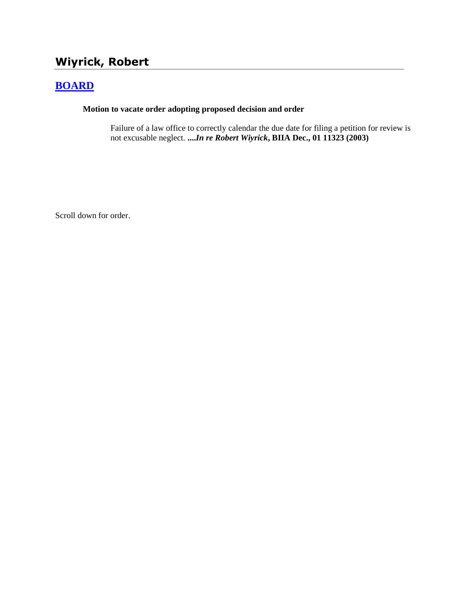# **Wiyrick, Robert**

## **[BOARD](http://www.biia.wa.gov/SDSubjectIndex.html#BOARD)**

#### **Motion to vacate order adopting proposed decision and order**

Failure of a law office to correctly calendar the due date for filing a petition for review is not excusable neglect. **....***In re Robert Wiyrick***, BIIA Dec., 01 11323 (2003)**

Scroll down for order.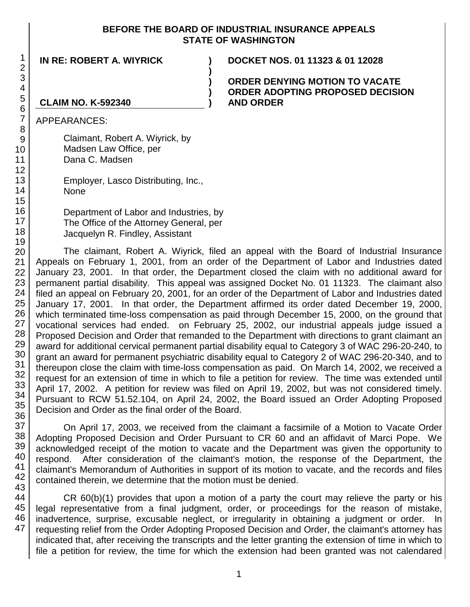#### **BEFORE THE BOARD OF INDUSTRIAL INSURANCE APPEALS STATE OF WASHINGTON**

**)**

**) ) )**

**IN RE: ROBERT A. WIYRICK ) DOCKET NOS. 01 11323 & 01 12028**

**ORDER DENYING MOTION TO VACATE ORDER ADOPTING PROPOSED DECISION AND ORDER**

### **CLAIM NO. K-592340**

APPEARANCES:

Claimant, Robert A. Wiyrick, by Madsen Law Office, per Dana C. Madsen

Employer, Lasco Distributing, Inc., None

Department of Labor and Industries, by The Office of the Attorney General, per Jacquelyn R. Findley, Assistant

The claimant, Robert A. Wiyrick, filed an appeal with the Board of Industrial Insurance Appeals on February 1, 2001, from an order of the Department of Labor and Industries dated January 23, 2001. In that order, the Department closed the claim with no additional award for permanent partial disability. This appeal was assigned Docket No. 01 11323. The claimant also filed an appeal on February 20, 2001, for an order of the Department of Labor and Industries dated January 17, 2001. In that order, the Department affirmed its order dated December 19, 2000, which terminated time-loss compensation as paid through December 15, 2000, on the ground that vocational services had ended. on February 25, 2002, our industrial appeals judge issued a Proposed Decision and Order that remanded to the Department with directions to grant claimant an award for additional cervical permanent partial disability equal to Category 3 of WAC 296-20-240, to grant an award for permanent psychiatric disability equal to Category 2 of WAC 296-20-340, and to thereupon close the claim with time-loss compensation as paid. On March 14, 2002, we received a request for an extension of time in which to file a petition for review. The time was extended until April 17, 2002. A petition for review was filed on April 19, 2002, but was not considered timely. Pursuant to RCW 51.52.104, on April 24, 2002, the Board issued an Order Adopting Proposed Decision and Order as the final order of the Board.

On April 17, 2003, we received from the claimant a facsimile of a Motion to Vacate Order Adopting Proposed Decision and Order Pursuant to CR 60 and an affidavit of Marci Pope. We acknowledged receipt of the motion to vacate and the Department was given the opportunity to respond. After consideration of the claimant's motion, the response of the Department, the claimant's Memorandum of Authorities in support of its motion to vacate, and the records and files contained therein, we determine that the motion must be denied.

CR 60(b)(1) provides that upon a motion of a party the court may relieve the party or his legal representative from a final judgment, order, or proceedings for the reason of mistake, inadvertence, surprise, excusable neglect, or irregularity in obtaining a judgment or order. In requesting relief from the Order Adopting Proposed Decision and Order, the claimant's attorney has indicated that, after receiving the transcripts and the letter granting the extension of time in which to file a petition for review, the time for which the extension had been granted was not calendared